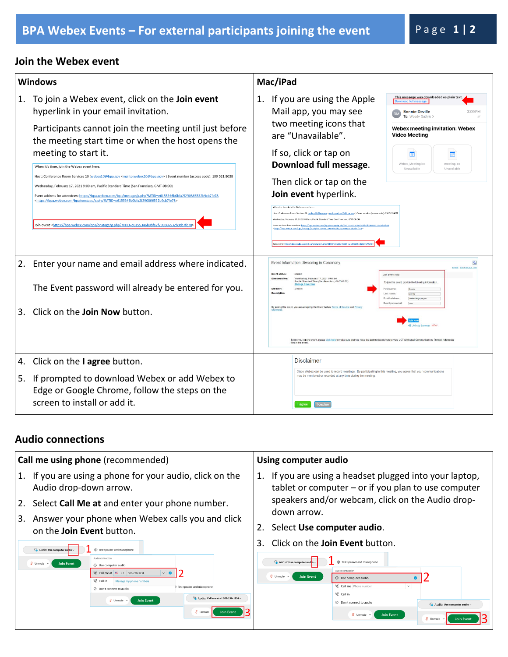## **Join the Webex event**

| <b>Windows</b>       |                                                                                                                                                                                                                                                                                                                                                                                                                                                                                                                                                                                                                                                                                                                                                                                                                                                         | Mac/iPad                                                                                                                                                                                                                                                                                                                                                                                                                                                                                                                                                                                                                                                                                                                                                                                                                                                                                                                                                                                                                                                                            |  |
|----------------------|---------------------------------------------------------------------------------------------------------------------------------------------------------------------------------------------------------------------------------------------------------------------------------------------------------------------------------------------------------------------------------------------------------------------------------------------------------------------------------------------------------------------------------------------------------------------------------------------------------------------------------------------------------------------------------------------------------------------------------------------------------------------------------------------------------------------------------------------------------|-------------------------------------------------------------------------------------------------------------------------------------------------------------------------------------------------------------------------------------------------------------------------------------------------------------------------------------------------------------------------------------------------------------------------------------------------------------------------------------------------------------------------------------------------------------------------------------------------------------------------------------------------------------------------------------------------------------------------------------------------------------------------------------------------------------------------------------------------------------------------------------------------------------------------------------------------------------------------------------------------------------------------------------------------------------------------------------|--|
| 1.                   | To join a Webex event, click on the Join event<br>hyperlink in your email invitation.<br>Participants cannot join the meeting until just before<br>the meeting start time or when the host opens the<br>meeting to start it.<br>When it's time, join the Webex event here<br>Host: Conference Room Services 10 (webex10@bpa.gov <mailto:webex10@bpa.gov>) Event number (access code): 199 521 8038<br/>Wednesday, February 17, 2021 9:00 am, Pacific Standard Time (San Francisco, GMT-08:00)<br/>Event address for attendees: https://bpa.webex.com/bpa/onstage/g.php?MTID=e6155346b0bfa2f290866532b9cb7fe78<br/><https: bpa="" bpa.webex.com="" g.php?mtid="e6155346b0bfa2f290866532b9cb7fe78&lt;br" onstage="">Join event &lt;<u>https://bpa.webex.com/bpa/onstage/g.php?MTID=e6155346b0bfa2f290866532b9cb7fe7</u></https:></mailto:webex10@bpa.gov> | This message was downloaded as plain text.<br>1. If you are using the Apple<br>Download full message<br>Mail app, you may see<br><b>Bonnie Deville</b><br>3:09P <sub>b</sub><br>To: Woody Guthrie ><br>two meeting icons that<br><b>Webex meeting invitation: Webex</b><br>are "Unavailable".<br><b>Video Meeting</b><br>If so, click or tap on<br>匪<br>腰<br>Download full message.<br>Webex_Meeting.ics<br>meeting.ics<br>Unavailable<br>Unavailable<br>Then click or tap on the<br>Join event hyperlink.<br>When it's time, join the Webex event here<br>Host: Conference Room Services 10 (webex10@bpa.gov <mailto:webex10@bpa.gov>) Event number (access code): 199 521 803<br/>Wednesday, February 17, 2021 9:00 am, Pacific Standard Time (San Francisco, GMT-08:00)<br/>ent address for attendees: https://bpa.webex.com/hpa/onstage/g.php?MTID+e61553<br/>ns://bea.webes.com/bpa/nestage/g.php?MTD+e815/346bOhfa2f29086633b9ch7fe7fs<br/>n event <https: bpa="" bpa.webex.com="" g.php?mtid="e6155346b0bfa2f290866532&lt;/th" onstage=""></https:></mailto:webex10@bpa.gov> |  |
| 2.<br>3 <sub>1</sub> | Enter your name and email address where indicated.<br>The Event password will already be entered for you.<br>Click on the <b>Join Now</b> button.                                                                                                                                                                                                                                                                                                                                                                                                                                                                                                                                                                                                                                                                                                       | Event Information: Swearing in Ceremony<br>G<br>Event status:<br>Join Event Now<br>Wednesday, February 17, 2021 9:00 an<br>Date and ti<br>Pacific Standard Time (San Francisco, GMT-08:00)<br>To join this event, provide the following information<br>Change time zone<br>Duration<br>First name:<br>Description<br>Last name:<br>Email address<br>bedeville@bpa.g<br>By joining this event, you are accepting the Cisco Webex Terms of Service and Privacy<br>mer NEW<br>Before you join the event, please click here to make sure that you have the appropriate players to view UCF (Universal Communications Format) rich media<br>files in the event                                                                                                                                                                                                                                                                                                                                                                                                                           |  |
| 4.                   | Click on the I agree button.<br>5. If prompted to download Webex or add Webex to<br>Edge or Google Chrome, follow the steps on the<br>screen to install or add it.                                                                                                                                                                                                                                                                                                                                                                                                                                                                                                                                                                                                                                                                                      | <b>Disclaimer</b><br>Cisco Webex can be used to record meetings. By participating in this meeting, you agree that your communications<br>may be monitored or recorded at any time during the meeting.<br>lagree<br>I decline                                                                                                                                                                                                                                                                                                                                                                                                                                                                                                                                                                                                                                                                                                                                                                                                                                                        |  |

## **Audio connections**

| Call me using phone (recommended)                        | Using computer audio                                  |  |
|----------------------------------------------------------|-------------------------------------------------------|--|
| 1. If you are using a phone for your audio, click on the | If you are using a headset plugged into your laptop,  |  |
| Audio drop-down arrow.                                   | tablet or computer $-$ or if you plan to use computer |  |
| Select Call Me at and enter your phone number.           | speakers and/or webcam, click on the Audio drop-      |  |
| Answer your phone when Webex calls you and click         | down arrow.                                           |  |
| 3.                                                       | 2.                                                    |  |
| on the <b>Join Event</b> button.                         | Select Use computer audio.                            |  |
| Audio: Use computer audio                                | Click on the Join Event button.                       |  |
| <br>Test speaker and microphone                          | 3.                                                    |  |
| Audio connection                                         | Audio: Use computer audi                              |  |
| <b><i>g</i></b> Unmute                                   | Test speaker and microphone                           |  |
| <b>Join Event</b>                                        | Audio connection                                      |  |
| Use computer audio                                       | <b>Join Event</b>                                     |  |
| % Call me at E +1 503-230-1234                           | <b>A</b> Unmute                                       |  |
| $\vee$ 0                                                 | Use computer audio                                    |  |
| ९ Call in                                                | Call me Phone number                                  |  |
| Manage my phone numbers                                  | $\checkmark$                                          |  |
| Test speaker and microphone                              | <sup>2</sup> Call in                                  |  |
| $\oslash$ Don't connect to audio                         | 2 Don't connect to audio                              |  |
| Audio: Call me at +1 503-230-1234 ~                      | Audio: Use computer audio                             |  |
| <b>Join Event</b>                                        | Ø Unmute                                              |  |
| $\delta$ Unmute $\sim$                                   | <b>Join Event</b>                                     |  |
| Ø Unmute                                                 | Ø Unmute                                              |  |
| <b>Join Event</b>                                        | <b>Join Event</b>                                     |  |